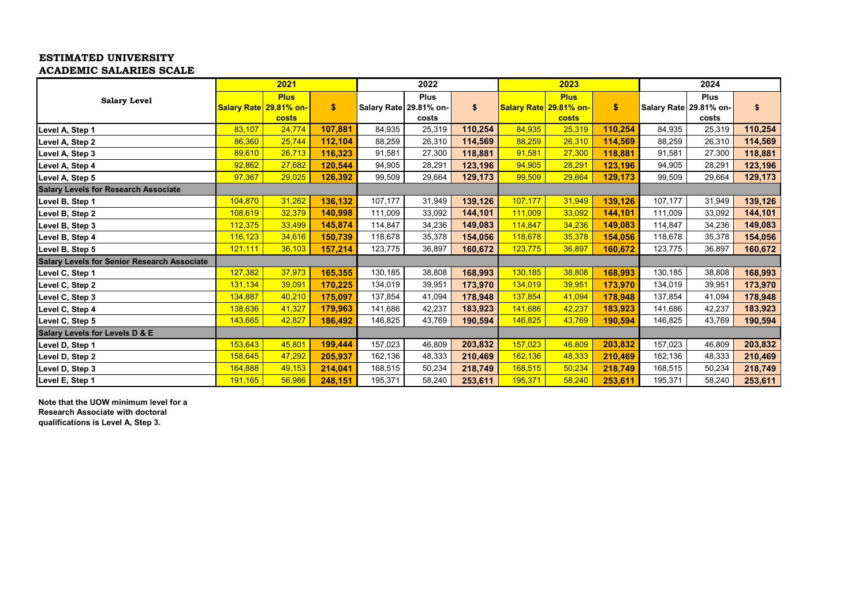## **ESTIMATED UNIVERSITY ACADEMIC SALARIES SCALE**

|                                                    | 2021    |                                                |         | 2022    |                                                |         | 2023    |                                                |         | 2024    |                                                |         |
|----------------------------------------------------|---------|------------------------------------------------|---------|---------|------------------------------------------------|---------|---------|------------------------------------------------|---------|---------|------------------------------------------------|---------|
| <b>Salary Level</b>                                |         | <b>Plus</b><br>Salary Rate 29.81% on-<br>costs | \$      |         | <b>Plus</b><br>Salary Rate 29.81% on-<br>costs | \$      |         | <b>Plus</b><br>Salary Rate 29.81% on-<br>costs | \$      |         | <b>Plus</b><br>Salary Rate 29.81% on-<br>costs | \$      |
| Level A, Step 1                                    | 83,107  | 24,774                                         | 107,881 | 84,935  | 25,319                                         | 110,254 | 84,935  | 25,319                                         | 110,254 | 84,935  | 25,319                                         | 110,254 |
| Level A, Step 2                                    | 86,360  | 25,744                                         | 112,104 | 88,259  | 26,310                                         | 114,569 | 88,259  | 26,310                                         | 114,569 | 88,259  | 26,310                                         | 114,569 |
| Level A, Step 3                                    | 89,610  | 26,713                                         | 116,323 | 91,581  | 27,300                                         | 118,881 | 91,581  | 27,300                                         | 118,881 | 91,581  | 27,300                                         | 118,881 |
| Level A, Step 4                                    | 92,862  | 27,682                                         | 120,544 | 94,905  | 28,291                                         | 123,196 | 94,905  | 28,291                                         | 123,196 | 94,905  | 28,291                                         | 123,196 |
| Level A, Step 5                                    | 97,367  | 29,025                                         | 126,392 | 99,509  | 29,664                                         | 129,173 | 99,509  | 29,664                                         | 129,173 | 99,509  | 29,664                                         | 129,173 |
| <b>Salary Levels for Research Associate</b>        |         |                                                |         |         |                                                |         |         |                                                |         |         |                                                |         |
| Level B, Step 1                                    | 104,870 | 31,262                                         | 136,132 | 107,177 | 31,949                                         | 139,126 | 107,177 | 31,949                                         | 139,126 | 107,177 | 31,949                                         | 139,126 |
| Level B, Step 2                                    | 108,619 | 32,379                                         | 140,998 | 111,009 | 33,092                                         | 144,101 | 111,009 | 33,092                                         | 144,101 | 111,009 | 33,092                                         | 144,101 |
| Level B, Step 3                                    | 112,375 | 33,499                                         | 145,874 | 114,847 | 34,236                                         | 149,083 | 114,847 | 34,236                                         | 149,083 | 114,847 | 34,236                                         | 149,083 |
| Level B, Step 4                                    | 116,123 | 34,616                                         | 150,739 | 118,678 | 35,378                                         | 154,056 | 118,678 | 35,378                                         | 154,056 | 118,678 | 35,378                                         | 154,056 |
| Level B, Step 5                                    | 121,111 | 36,103                                         | 157,214 | 123,775 | 36,897                                         | 160,672 | 123,775 | 36,897                                         | 160,672 | 123,775 | 36,897                                         | 160,672 |
| <b>Salary Levels for Senior Research Associate</b> |         |                                                |         |         |                                                |         |         |                                                |         |         |                                                |         |
| Level C, Step 1                                    | 127,382 | 37,973                                         | 165,355 | 130,185 | 38,808                                         | 168,993 | 130,185 | 38,808                                         | 168,993 | 130,185 | 38,808                                         | 168,993 |
| Level C, Step 2                                    | 131,134 | 39,091                                         | 170,225 | 134,019 | 39,951                                         | 173,970 | 134,019 | 39,951                                         | 173,970 | 134,019 | 39,951                                         | 173,970 |
| Level C, Step 3                                    | 134,887 | 40,210                                         | 175,097 | 137,854 | 41,094                                         | 178,948 | 137,854 | 41,094                                         | 178,948 | 137,854 | 41,094                                         | 178,948 |
| Level C, Step 4                                    | 138,636 | 41,327                                         | 179,963 | 141,686 | 42,237                                         | 183,923 | 141,686 | 42,237                                         | 183,923 | 141,686 | 42,237                                         | 183,923 |
| Level C, Step 5                                    | 143,665 | 42,827                                         | 186,492 | 146,825 | 43,769                                         | 190,594 | 146,825 | 43,769                                         | 190,594 | 146,825 | 43,769                                         | 190,594 |
| <b>Salary Levels for Levels D &amp; E</b>          |         |                                                |         |         |                                                |         |         |                                                |         |         |                                                |         |
| Level D, Step 1                                    | 153,643 | 45,801                                         | 199,444 | 157,023 | 46,809                                         | 203,832 | 157,023 | 46,809                                         | 203,832 | 157,023 | 46,809                                         | 203,832 |
| Level D, Step 2                                    | 158,645 | 47,292                                         | 205,937 | 162,136 | 48,333                                         | 210,469 | 162,136 | 48,333                                         | 210,469 | 162,136 | 48,333                                         | 210,469 |
| Level D, Step 3                                    | 164,888 | 49,153                                         | 214,041 | 168,515 | 50,234                                         | 218,749 | 168,515 | 50,234                                         | 218,749 | 168,515 | 50,234                                         | 218,749 |
| Level E, Step 1                                    | 191,165 | 56,986                                         | 248,151 | 195,371 | 58,240                                         | 253,611 | 195,371 | 58,240                                         | 253,611 | 195,371 | 58,240                                         | 253,611 |

**Note that the UOW minimum level for a Research Associate with doctoral qualifications is Level A, Step 3.**